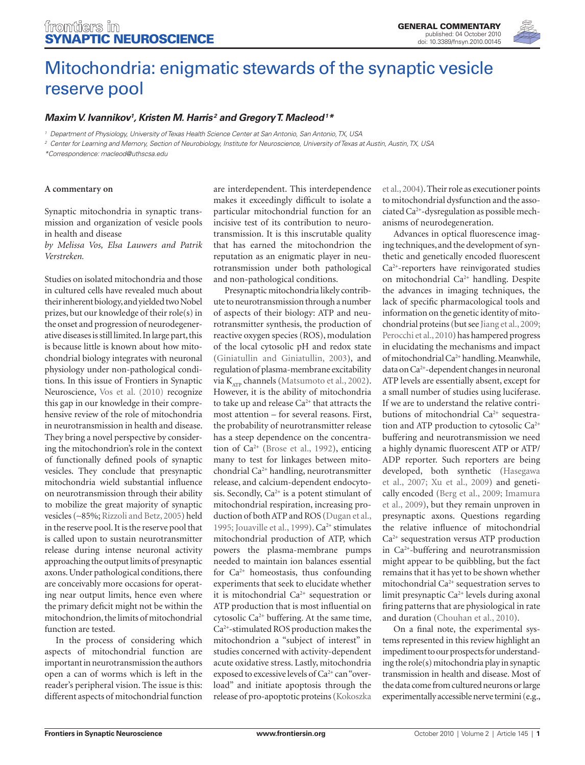

# Mitochondria: enigmatic stewards of the synaptic vesicle reserve pool

# Maxim V. Ivannikov<sup>1</sup>, Kristen M. Harris<sup>2</sup> and Gregory T. Macleod<sup>1\*</sup>

*<sup>1</sup> Department of Physiology, University of Texas Health Science Center at San Antonio, San Antonio, TX, USA*

*<sup>2</sup> Center for Learning and Memory, Section of Neurobiology, Institute for Neuroscience, University of Texas at Austin, Austin, TX, USA*

*\*Correspondence: macleod@uthscsa.edu*

#### **A commentary on**

Synaptic mitochondria in synaptic transmission and organization of vesicle pools in health and disease

*by Melissa Vos, Elsa Lauwers and Patrik Verstreken.*

Studies on isolated mitochondria and those in cultured cells have revealed much about their inherent biology, and yielded two Nobel prizes, but our knowledge of their role(s) in the onset and progression of neurodegenerative diseases is still limited. In large part, this is because little is known about how mitochondrial biology integrates with neuronal physiology under non-pathological conditions. In this issue of Frontiers in Synaptic Neuroscience, Vos et al. (2010) recognize this gap in our knowledge in their comprehensive review of the role of mitochondria in neurotransmission in health and disease. They bring a novel perspective by considering the mitochondrion's role in the context of functionally defined pools of synaptic vesicles. They conclude that presynaptic mitochondria wield substantial influence on neurotransmission through their ability to mobilize the great majority of synaptic vesicles (∼85%; Rizzoli and Betz, 2005) held in the reserve pool. It is the reserve pool that is called upon to sustain neurotransmitter release during intense neuronal activity approaching the output limits of presynaptic axons. Under pathological conditions, there are conceivably more occasions for operating near output limits, hence even where the primary deficit might not be within the mitochondrion, the limits of mitochondrial function are tested.

In the process of considering which aspects of mitochondrial function are important in neurotransmission the authors open a can of worms which is left in the reader's peripheral vision. The issue is this: different aspects of mitochondrial function

are interdependent. This interdependence makes it exceedingly difficult to isolate a particular mitochondrial function for an incisive test of its contribution to neurotransmission. It is this inscrutable quality that has earned the mitochondrion the reputation as an enigmatic player in neurotransmission under both pathological and non-pathological conditions.

Presynaptic mitochondria likely contribute to neurotransmission through a number of aspects of their biology: ATP and neurotransmitter synthesis, the production of reactive oxygen species (ROS), modulation of the local cytosolic pH and redox state (Giniatullin and Giniatullin, 2003), and regulation of plasma-membrane excitability via  $K_{ATP}$  channels (Matsumoto et al., 2002). However, it is the ability of mitochondria to take up and release Ca<sup>2+</sup> that attracts the most attention – for several reasons. First, the probability of neurotransmitter release has a steep dependence on the concentration of Ca2<sup>+</sup> (Brose et al., 1992), enticing many to test for linkages between mitochondrial Ca2<sup>+</sup> handling, neurotransmitter release, and calcium-dependent endocytosis. Secondly,  $Ca^{2+}$  is a potent stimulant of mitochondrial respiration, increasing production of both ATP and ROS (Dugan et al., 1995; Jouaville et al., 1999). Ca<sup>2+</sup> stimulates mitochondrial production of ATP, which powers the plasma-membrane pumps needed to maintain ion balances essential for Ca<sup>2+</sup> homeostasis, thus confounding experiments that seek to elucidate whether it is mitochondrial  $Ca^{2+}$  sequestration or ATP production that is most influential on cytosolic Ca<sup>2+</sup> buffering. At the same time, Ca2<sup>+</sup> -stimulated ROS production makes the mitochondrion a "subject of interest" in studies concerned with activity-dependent acute oxidative stress. Lastly, mitochondria exposed to excessive levels of Ca<sup>2+</sup> can "overload" and initiate apoptosis through the release of pro-apoptotic proteins (Kokoszka

et al., 2004). Their role as executioner points to mitochondrial dysfunction and the associated Ca2<sup>+</sup> -dysregulation as possible mechanisms of neurodegeneration.

Advances in optical fluorescence imaging techniques, and the development of synthetic and genetically encoded fluorescent Ca2<sup>+</sup> -reporters have reinvigorated studies on mitochondrial Ca<sup>2+</sup> handling. Despite the advances in imaging techniques, the lack of specific pharmacological tools and information on the genetic identity of mitochondrial proteins (but see Jiang et al., 2009; Perocchi et al., 2010) has hampered progress in elucidating the mechanisms and impact of mitochondrial Ca<sup>2+</sup> handling. Meanwhile, data on Ca2<sup>+</sup> -dependent changes in neuronal ATP levels are essentially absent, except for a small number of studies using luciferase. If we are to understand the relative contributions of mitochondrial Ca<sup>2+</sup> sequestration and ATP production to cytosolic Ca2<sup>+</sup> buffering and neurotransmission we need a highly dynamic fluorescent ATP or ATP/ ADP reporter. Such reporters are being developed, both synthetic (Hasegawa et al., 2007; Xu et al., 2009) and genetically encoded (Berg et al., 2009; Imamura et al., 2009), but they remain unproven in presynaptic axons. Questions regarding the relative influence of mitochondrial Ca2<sup>+</sup> sequestration versus ATP production in Ca2<sup>+</sup> -buffering and neurotransmission might appear to be quibbling, but the fact remains that it has yet to be shown whether mitochondrial Ca<sup>2+</sup> sequestration serves to limit presynaptic Ca<sup>2+</sup> levels during axonal firing patterns that are physiological in rate and duration (Chouhan et al., 2010).

On a final note, the experimental systems represented in this review highlight an impediment to our prospects for understanding the role(s) mitochondria play in synaptic transmission in health and disease. Most of the data come from cultured neurons or large experimentally accessible nerve termini (e.g.,